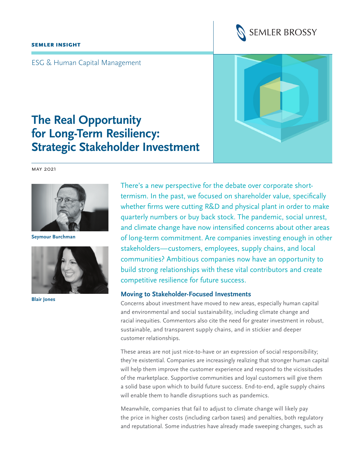#### SEMLER INSIGHT



ESG & Human Capital Management

# **The Real Opportunity for Long-Term Resiliency: Strategic Stakeholder Investment**

may 2021



**Seymour Burchman**



**Blair Jones** 

There's a new perspective for the debate over corporate shorttermism. In the past, we focused on shareholder value, specifically whether firms were cutting R&D and physical plant in order to make quarterly numbers or buy back stock. The pandemic, social unrest, and climate change have now intensified concerns about other areas of long-term commitment. Are companies investing enough in other stakeholders—customers, employees, supply chains, and local communities? Ambitious companies now have an opportunity to build strong relationships with these vital contributors and create competitive resilience for future success.

#### **Moving to Stakeholder-Focused Investments**

Concerns about investment have moved to new areas, especially human capital and environmental and social sustainability, including climate change and racial inequities. Commentors also cite the need for greater investment in robust, sustainable, and transparent supply chains, and in stickier and deeper customer relationships.

These areas are not just nice-to-have or an expression of social responsibility; they're existential. Companies are increasingly realizing that stronger human capital will help them improve the customer experience and respond to the vicissitudes of the marketplace. Supportive communities and loyal customers will give them a solid base upon which to build future success. End-to-end, agile supply chains will enable them to handle disruptions such as pandemics.

Meanwhile, companies that fail to adjust to climate change will likely pay the price in higher costs (including carbon taxes) and penalties, both regulatory and reputational. Some industries have already made sweeping changes, such as

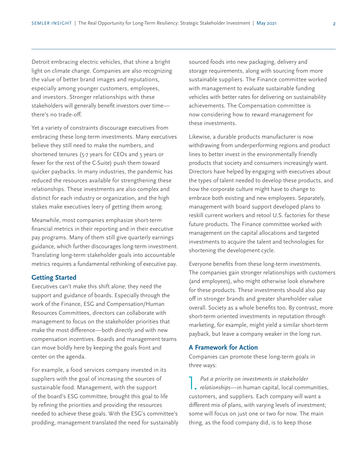Detroit embracing electric vehicles, that shine a bright light on climate change. Companies are also recognizing the value of better brand images and reputations, especially among younger customers, employees, and investors. Stronger relationships with these stakeholders will generally benefit investors over time there's no trade-off.

Yet a variety of constraints discourage executives from embracing these long-term investments. Many executives believe they still need to make the numbers, and shortened tenures (5-7 years for CEOs and 5 years or fewer for the rest of the C-Suite) push them toward quicker paybacks. In many industries, the pandemic has reduced the resources available for strengthening these relationships. These investments are also complex and distinct for each industry or organization, and the high stakes make executives leery of getting them wrong.

Meanwhile, most companies emphasize short-term financial metrics in their reporting and in their executive pay programs. Many of them still give quarterly earnings guidance, which further discourages long-term investment. Translating long-term stakeholder goals into accountable metrics requires a fundamental rethinking of executive pay.

### **Getting Started**

Executives can't make this shift alone; they need the support and guidance of boards. Especially through the work of the Finance, ESG and Compensation/Human Resources Committees, directors can collaborate with management to focus on the stakeholder priorities that make the most difference—both directly and with new compensation incentives. Boards and management teams can move boldly here by keeping the goals front and center on the agenda.

For example, a food services company invested in its suppliers with the goal of increasing the sources of sustainable food. Management, with the support of the board's ESG committee, brought this goal to life by refining the priorities and providing the resources needed to achieve these goals. With the ESG's committee's prodding, management translated the need for sustainably sourced foods into new packaging, delivery and storage requirements, along with sourcing from more sustainable suppliers. The Finance committee worked with management to evaluate sustainable funding vehicles with better rates for delivering on sustainability achievements. The Compensation committee is now considering how to reward management for these investments.

Likewise, a durable products manufacturer is now withdrawing from underperforming regions and product lines to better invest in the environmentally friendly products that society and consumers increasingly want. Directors have helped by engaging with executives about the types of talent needed to develop these products, and how the corporate culture might have to change to embrace both existing and new employees. Separately, management with board support developed plans to reskill current workers and retool U.S. factories for these future products. The Finance committee worked with management on the capital allocations and targeted investments to acquire the talent and technologies for shortening the development cycle.

Everyone benefits from these long-term investments. The companies gain stronger relationships with customers (and employees), who might otherwise look elsewhere for these products. These investments should also pay off in stronger brands and greater shareholder value overall. Society as a whole benefits too. By contrast, more short-term oriented investments in reputation through marketing, for example, might yield a similar short-term payback, but leave a company weaker in the long run.

## **A Framework for Action**

Companies can promote these long-term goals in three ways:

Put a priority on investments in stakeholder<br> **relationships—in human capital**, local communities, *Put a priority on investments in stakeholder*  customers, and suppliers. Each company will want a different mix of plans, with varying levels of investment; some will focus on just one or two for now. The main thing, as the food company did, is to keep those